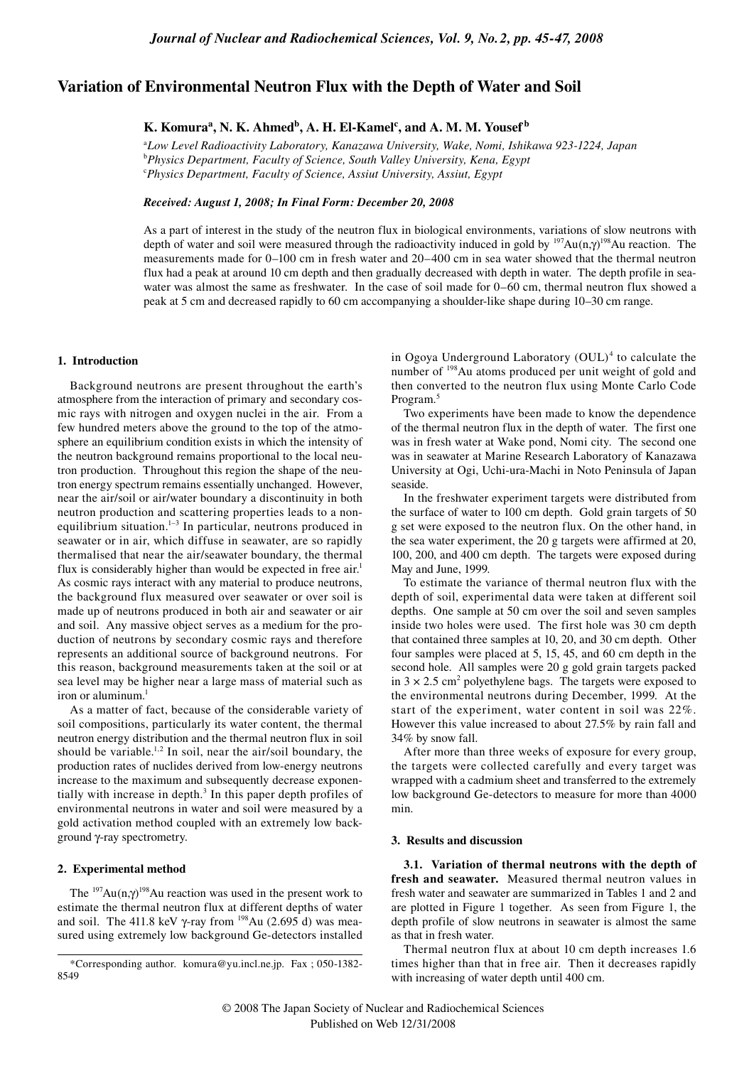## **Variation of Environmental Neutron Flux with the Depth of Water and Soil**

# $\mathbf{K}.$  Komura<sup>a</sup>, N. K. Ahmed<sup>b</sup>, A. H. El-Kamel<sup>c</sup>, and A. M. M. Yousef<sup>b</sup>

a *Low Level Radioactivity Laboratory, Kanazawa University, Wake, Nomi, Ishikawa 923-1224, Japan* b *Physics Department, Faculty of Science, South Valley University, Kena, Egypt* c *Physics Department, Faculty of Science, Assiut University, Assiut, Egypt*

### *Received: August 1, 2008; In Final Form: December 20, 2008*

As a part of interest in the study of the neutron flux in biological environments, variations of slow neutrons with depth of water and soil were measured through the radioactivity induced in gold by  $197Au$ (n, $\gamma$ )<sup>198</sup>Au reaction. The measurements made for 0–100 cm in fresh water and 20–400 cm in sea water showed that the thermal neutron flux had a peak at around 10 cm depth and then gradually decreased with depth in water. The depth profile in seawater was almost the same as freshwater. In the case of soil made for 0–60 cm, thermal neutron flux showed a peak at 5 cm and decreased rapidly to 60 cm accompanying a shoulder-like shape during 10–30 cm range.

#### **1. Introduction**

Background neutrons are present throughout the earth's atmosphere from the interaction of primary and secondary cosmic rays with nitrogen and oxygen nuclei in the air. From a few hundred meters above the ground to the top of the atmosphere an equilibrium condition exists in which the intensity of the neutron background remains proportional to the local neutron production. Throughout this region the shape of the neutron energy spectrum remains essentially unchanged. However, near the air/soil or air/water boundary a discontinuity in both neutron production and scattering properties leads to a nonequilibrium situation.<sup>1-3</sup> In particular, neutrons produced in seawater or in air, which diffuse in seawater, are so rapidly thermalised that near the air/seawater boundary, the thermal flux is considerably higher than would be expected in free air.<sup>1</sup> As cosmic rays interact with any material to produce neutrons, the background flux measured over seawater or over soil is made up of neutrons produced in both air and seawater or air and soil. Any massive object serves as a medium for the production of neutrons by secondary cosmic rays and therefore represents an additional source of background neutrons. For this reason, background measurements taken at the soil or at sea level may be higher near a large mass of material such as iron or aluminum.<sup>1</sup>

As a matter of fact, because of the considerable variety of soil compositions, particularly its water content, the thermal neutron energy distribution and the thermal neutron flux in soil should be variable.<sup>1,2</sup> In soil, near the air/soil boundary, the production rates of nuclides derived from low-energy neutrons increase to the maximum and subsequently decrease exponentially with increase in depth.<sup>3</sup> In this paper depth profiles of environmental neutrons in water and soil were measured by a gold activation method coupled with an extremely low background γ-ray spectrometry.

### **2. Experimental method**

The  $197Au(n,\gamma)$ <sup>198</sup>Au reaction was used in the present work to estimate the thermal neutron flux at different depths of water and soil. The 411.8 keV  $\gamma$ -ray from <sup>198</sup>Au (2.695 d) was measured using extremely low background Ge-detectors installed

in Ogoya Underground Laboratory (OUL)<sup>4</sup> to calculate the number of 198Au atoms produced per unit weight of gold and then converted to the neutron flux using Monte Carlo Code Program.5

Two experiments have been made to know the dependence of the thermal neutron flux in the depth of water. The first one was in fresh water at Wake pond, Nomi city. The second one was in seawater at Marine Research Laboratory of Kanazawa University at Ogi, Uchi-ura-Machi in Noto Peninsula of Japan seaside.

In the freshwater experiment targets were distributed from the surface of water to 100 cm depth. Gold grain targets of 50 g set were exposed to the neutron flux. On the other hand, in the sea water experiment, the 20 g targets were affirmed at 20, 100, 200, and 400 cm depth. The targets were exposed during May and June, 1999.

To estimate the variance of thermal neutron flux with the depth of soil, experimental data were taken at different soil depths. One sample at 50 cm over the soil and seven samples inside two holes were used. The first hole was 30 cm depth that contained three samples at 10, 20, and 30 cm depth. Other four samples were placed at 5, 15, 45, and 60 cm depth in the second hole. All samples were 20 g gold grain targets packed in  $3 \times 2.5$  cm<sup>2</sup> polyethylene bags. The targets were exposed to the environmental neutrons during December, 1999. At the start of the experiment, water content in soil was 22%. However this value increased to about 27.5% by rain fall and 34% by snow fall.

After more than three weeks of exposure for every group, the targets were collected carefully and every target was wrapped with a cadmium sheet and transferred to the extremely low background Ge-detectors to measure for more than 4000 min.

### **3. Results and discussion**

**3.1. Variation of thermal neutrons with the depth of fresh and seawater.** Measured thermal neutron values in fresh water and seawater are summarized in Tables 1 and 2 and are plotted in Figure 1 together. As seen from Figure 1, the depth profile of slow neutrons in seawater is almost the same as that in fresh water.

Thermal neutron flux at about 10 cm depth increases 1.6 times higher than that in free air. Then it decreases rapidly with increasing of water depth until 400 cm.

<sup>\*</sup>Corresponding author. komura@yu.incl.ne.jp. Fax ; 050-1382- 8549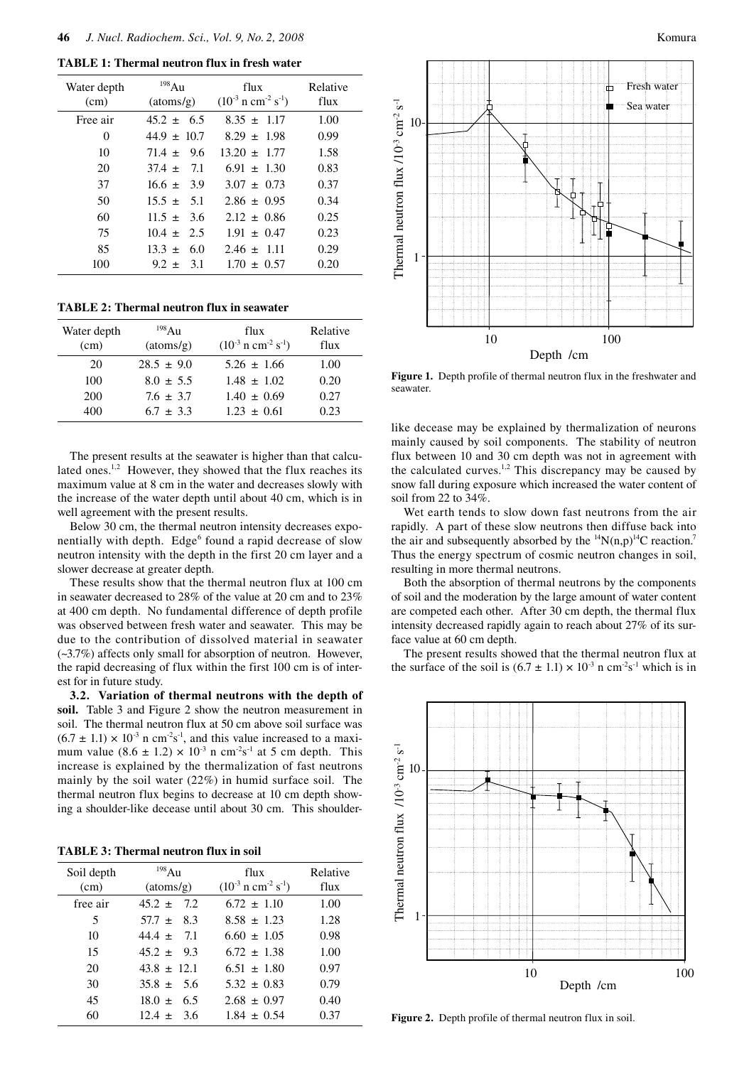**TABLE 1: Thermal neutron flux in fresh water** 

| Water depth<br>(cm) | 198Au<br>(atoms/g) | flux<br>$(10^{-3} \text{ n cm}^{-2} \text{ s}^{-1})$ | Relative<br>flux |
|---------------------|--------------------|------------------------------------------------------|------------------|
| Free air            | $45.2 \pm 6.5$     | $8.35 \pm 1.17$                                      | 1.00             |
| 0                   | $44.9 \pm 10.7$    | $8.29 \pm 1.98$                                      | 0.99             |
| 10                  | $71.4 + 9.6$       | $13.20 \pm 1.77$                                     | 1.58             |
| 20                  | $37.4 + 7.1$       | $6.91 \pm 1.30$                                      | 0.83             |
| 37                  | $16.6 \pm 3.9$     | $3.07 + 0.73$                                        | 0.37             |
| 50                  | $15.5 \pm 5.1$     | $2.86 \pm 0.95$                                      | 0.34             |
| 60                  | $11.5 + 3.6$       | $2.12 \pm 0.86$                                      | 0.25             |
| 75                  | $10.4 \pm 2.5$     | $1.91 \pm 0.47$                                      | 0.23             |
| 85                  | 6.0<br>$13.3 \pm$  | $2.46 \pm 1.11$                                      | 0.29             |
| 100                 | $9.2 \pm 3.1$      | $1.70 \pm 0.57$                                      | 0.20             |
|                     |                    |                                                      |                  |

**TABLE 2: Thermal neutron flux in seawater** 

| Water depth<br>(cm) | $^{198}$ Au<br>(atoms/g) | flux<br>$(10^{-3} \text{ n cm}^{-2} \text{ s}^{-1})$ | Relative<br>flux |
|---------------------|--------------------------|------------------------------------------------------|------------------|
| 20                  | $28.5 \pm 9.0$           | $5.26 \pm 1.66$                                      | 1.00             |
| 100                 | $8.0 \pm 5.5$            | $1.48 + 1.02$                                        | 0.20             |
| 200                 | $7.6 \pm 3.7$            | $1.40 \pm 0.69$                                      | 0.27             |
| 400                 | $6.7 \pm 3.3$            | $1.23 + 0.61$                                        | 0.23             |

The present results at the seawater is higher than that calculated ones.<sup>1,2</sup> However, they showed that the flux reaches its maximum value at 8 cm in the water and decreases slowly with the increase of the water depth until about 40 cm, which is in well agreement with the present results.

Below 30 cm, the thermal neutron intensity decreases exponentially with depth. Edge<sup>6</sup> found a rapid decrease of slow neutron intensity with the depth in the first 20 cm layer and a slower decrease at greater depth.

These results show that the thermal neutron flux at 100 cm in seawater decreased to 28% of the value at 20 cm and to 23% at 400 cm depth. No fundamental difference of depth profile was observed between fresh water and seawater. This may be due to the contribution of dissolved material in seawater (~3.7%) affects only small for absorption of neutron. However, the rapid decreasing of flux within the first 100 cm is of interest for in future study.

**3.2. Variation of thermal neutrons with the depth of soil.** Table 3 and Figure 2 show the neutron measurement in soil. The thermal neutron flux at 50 cm above soil surface was  $(6.7 \pm 1.1) \times 10^{-3}$  n cm<sup>-2</sup>s<sup>-1</sup>, and this value increased to a maximum value  $(8.6 \pm 1.2) \times 10^{-3}$  n cm<sup>-2</sup>s<sup>-1</sup> at 5 cm depth. This increase is explained by the thermalization of fast neutrons mainly by the soil water (22%) in humid surface soil. The thermal neutron flux begins to decrease at 10 cm depth showing a shoulder-like decease until about 30 cm. This shoulder-

**TABLE 3: Thermal neutron flux in soil** 

| Soil depth<br>(cm) | 198Au<br>(atoms/g) | flux<br>$(10^{-3} \text{ n cm}^{-2} \text{ s}^{-1})$ | Relative<br>flux |
|--------------------|--------------------|------------------------------------------------------|------------------|
| free air           | $45.2 +$<br>7.2.   | $6.72 + 1.10$                                        | 1.00             |
| 5                  | $57.7 \pm 8.3$     | $8.58 + 1.23$                                        | 1.28             |
| 10                 | $44.4 \pm 7.1$     | $6.60 + 1.05$                                        | 0.98             |
| 15                 | $45.2 + 9.3$       | $6.72 + 1.38$                                        | 1.00             |
| 20                 | $43.8 \pm 12.1$    | $6.51 + 1.80$                                        | 0.97             |
| 30                 | $35.8 + 5.6$       | $5.32 + 0.83$                                        | 0.79             |
| 45                 | -6.5<br>$18.0 +$   | $2.68 \pm 0.97$                                      | 0.40             |
| 60                 | $12.4 + 3.6$       | $1.84 + 0.54$                                        | 0.37             |





**Figure 1.** Depth profile of thermal neutron flux in the freshwater and seawater.

like decease may be explained by thermalization of neurons mainly caused by soil components. The stability of neutron flux between 10 and 30 cm depth was not in agreement with the calculated curves.<sup>1,2</sup> This discrepancy may be caused by snow fall during exposure which increased the water content of soil from 22 to 34%.

Wet earth tends to slow down fast neutrons from the air rapidly. A part of these slow neutrons then diffuse back into the air and subsequently absorbed by the  ${}^{14}N(n,p)$ <sup>14</sup>C reaction.<sup>7</sup> Thus the energy spectrum of cosmic neutron changes in soil, resulting in more thermal neutrons.

Both the absorption of thermal neutrons by the components of soil and the moderation by the large amount of water content are competed each other. After 30 cm depth, the thermal flux intensity decreased rapidly again to reach about 27% of its surface value at 60 cm depth.

The present results showed that the thermal neutron flux at the surface of the soil is  $(6.7 \pm 1.1) \times 10^{-3}$  n cm<sup>-2</sup>s<sup>-1</sup> which is in



**Figure 2.** Depth profile of thermal neutron flux in soil.